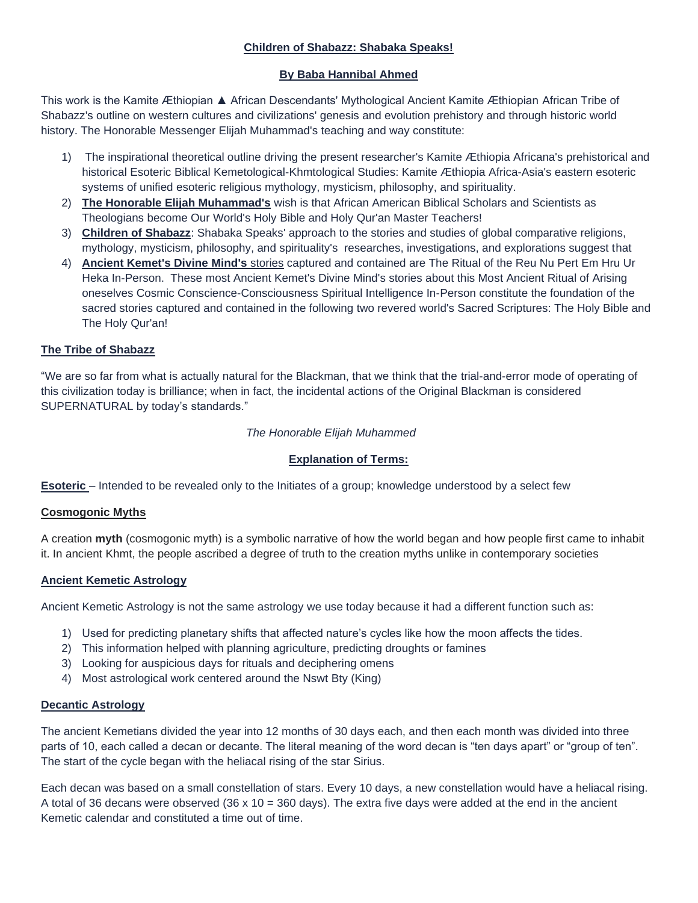# **Children of Shabazz: Shabaka Speaks!**

# **By Baba Hannibal Ahmed**

This work is the Kamite Æthiopian ▲ African Descendants' Mythological Ancient Kamite Æthiopian African Tribe of Shabazz's outline on western cultures and civilizations' genesis and evolution prehistory and through historic world history. The Honorable Messenger Elijah Muhammad's teaching and way constitute:

- 1) The inspirational theoretical outline driving the present researcher's Kamite Æthiopia Africana's prehistorical and historical Esoteric Biblical Kemetological-Khmtological Studies: Kamite Æthiopia Africa-Asia's eastern esoteric systems of unified esoteric religious mythology, mysticism, philosophy, and spirituality.
- 2) **The Honorable Elijah Muhammad's** wish is that African American Biblical Scholars and Scientists as Theologians become Our World's Holy Bible and Holy Qur'an Master Teachers!
- 3) **Children of Shabazz**: Shabaka Speaks' approach to the stories and studies of global comparative religions, mythology, mysticism, philosophy, and spirituality's researches, investigations, and explorations suggest that
- 4) **Ancient Kemet's Divine Mind's** stories captured and contained are The Ritual of the Reu Nu Pert Em Hru Ur Heka In-Person. These most Ancient Kemet's Divine Mind's stories about this Most Ancient Ritual of Arising oneselves Cosmic Conscience-Consciousness Spiritual Intelligence In-Person constitute the foundation of the sacred stories captured and contained in the following two revered world's Sacred Scriptures: The Holy Bible and The Holy Qur'an!

# **The Tribe of Shabazz**

"We are so far from what is actually natural for the Blackman, that we think that the trial-and-error mode of operating of this civilization today is brilliance; when in fact, the incidental actions of the Original Blackman is considered SUPERNATURAL by today's standards."

# *The Honorable Elijah Muhammed*

# **Explanation of Terms:**

**Esoteric** – Intended to be revealed only to the Initiates of a group; knowledge understood by a select few

# **Cosmogonic Myths**

A creation **myth** (cosmogonic myth) is a symbolic narrative of how the world began and how people first came to inhabit it. In ancient Khmt, the people ascribed a degree of truth to the creation myths unlike in contemporary societies

# **Ancient Kemetic Astrology**

Ancient Kemetic Astrology is not the same astrology we use today because it had a different function such as:

- 1) Used for predicting planetary shifts that affected nature's cycles like how the moon affects the tides.
- 2) This information helped with planning agriculture, predicting droughts or famines
- 3) Looking for auspicious days for rituals and deciphering omens
- 4) Most astrological work centered around the Nswt Bty (King)

# **Decantic Astrology**

The ancient Kemetians divided the year into 12 months of 30 days each, and then each month was divided into three parts of 10, each called a decan or decante. The literal meaning of the word decan is "ten days apart" or "group of ten". The start of the cycle began with the heliacal rising of the star Sirius.

Each decan was based on a small constellation of stars. Every 10 days, a new constellation would have a heliacal rising. A total of 36 decans were observed  $(36 \times 10 = 360 \text{ days})$ . The extra five days were added at the end in the ancient Kemetic calendar and constituted a time out of time.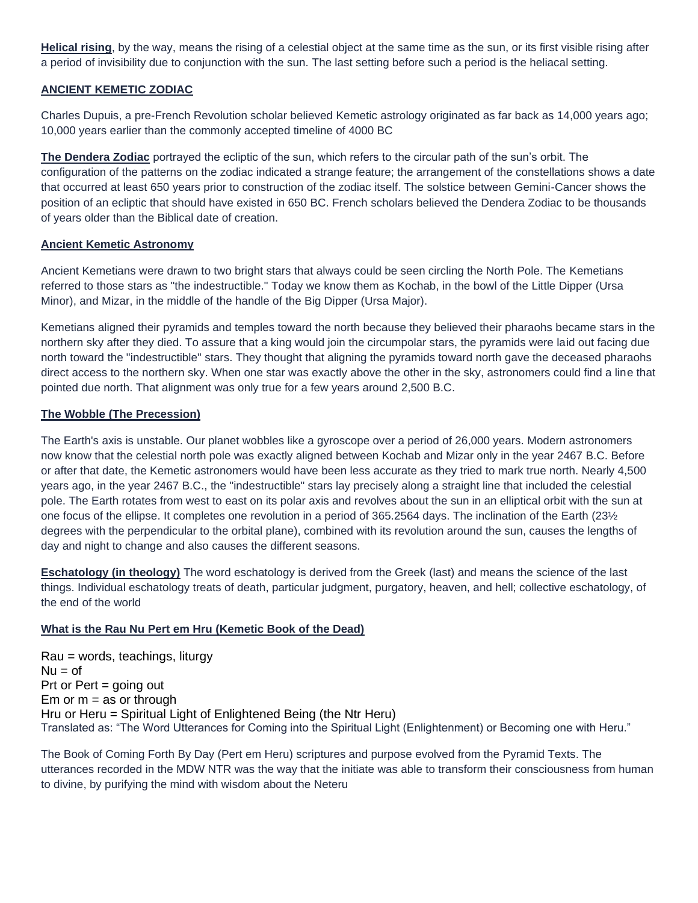**Helical rising**, by the way, means the rising of a celestial object at the same time as the sun, or its first visible rising after a period of invisibility due to conjunction with the sun. The last setting before such a period is the heliacal setting.

# **ANCIENT KEMETIC ZODIAC**

Charles Dupuis, a pre-French Revolution scholar believed Kemetic astrology originated as far back as 14,000 years ago; 10,000 years earlier than the commonly accepted timeline of 4000 BC

**The Dendera Zodiac** portrayed the ecliptic of the sun, which refers to the circular path of the sun's orbit. The configuration of the patterns on the zodiac indicated a strange feature; the arrangement of the constellations shows a date that occurred at least 650 years prior to construction of the zodiac itself. The solstice between Gemini-Cancer shows the position of an ecliptic that should have existed in 650 BC. French scholars believed the Dendera Zodiac to be thousands of years older than the Biblical date of creation.

#### **Ancient Kemetic Astronomy**

Ancient Kemetians were drawn to two bright stars that always could be seen circling the North Pole. The Kemetians referred to those stars as "the indestructible." Today we know them as Kochab, in the bowl of the Little Dipper (Ursa Minor), and Mizar, in the middle of the handle of the Big Dipper (Ursa Major).

Kemetians aligned their pyramids and temples toward the north because they believed their pharaohs became stars in the northern sky after they died. To assure that a king would join the circumpolar stars, the pyramids were laid out facing due north toward the "indestructible" stars. They thought that aligning the pyramids toward north gave the deceased pharaohs direct access to the northern sky. When one star was exactly above the other in the sky, astronomers could find a line that pointed due north. That alignment was only true for a few years around 2,500 B.C.

#### **The Wobble (The Precession)**

The Earth's axis is unstable. Our planet wobbles like a gyroscope over a period of 26,000 years. Modern astronomers now know that the celestial north pole was exactly aligned between Kochab and Mizar only in the year 2467 B.C. Before or after that date, the Kemetic astronomers would have been less accurate as they tried to mark true north. Nearly 4,500 years ago, in the year 2467 B.C., the "indestructible" stars lay precisely along a straight line that included the celestial pole. The Earth rotates from west to east on its polar axis and revolves about the sun in an elliptical orbit with the sun at one focus of the ellipse. It completes one revolution in a period of 365.2564 days. The inclination of the Earth (23½ degrees with the perpendicular to the orbital plane), combined with its revolution around the sun, causes the lengths of day and night to change and also causes the different seasons.

**Eschatology (in theology)** The word eschatology is derived from the Greek (last) and means the science of the last things. Individual eschatology treats of death, particular judgment, purgatory, heaven, and hell; collective eschatology, of the end of the world

# **What is the Rau Nu Pert em Hru (Kemetic Book of the Dead)**

Rau = words, teachings, liturgy  $Nu = of$ Prt or Pert = going out Em or  $m =$  as or through Hru or Heru = Spiritual Light of Enlightened Being (the Ntr Heru) Translated as: "The Word Utterances for Coming into the Spiritual Light (Enlightenment) or Becoming one with Heru."

The Book of Coming Forth By Day (Pert em Heru) scriptures and purpose evolved from the Pyramid Texts. The utterances recorded in the MDW NTR was the way that the initiate was able to transform their consciousness from human to divine, by purifying the mind with wisdom about the Neteru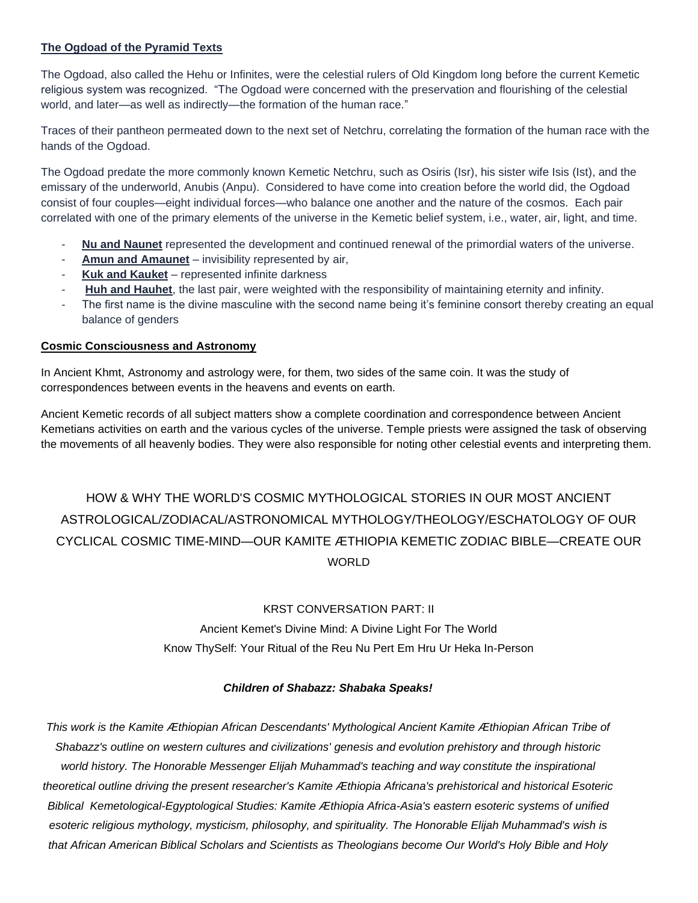# **The Ogdoad of the Pyramid Texts**

The Ogdoad, also called the Hehu or Infinites, were the celestial rulers of Old Kingdom long before the current Kemetic religious system was recognized. "The Ogdoad were concerned with the preservation and flourishing of the celestial world, and later—as well as indirectly—the formation of the human race."

Traces of their pantheon permeated down to the next set of Netchru, correlating the formation of the human race with the hands of the Ogdoad.

The Ogdoad predate the more commonly known Kemetic Netchru, such as Osiris (Isr), his sister wife Isis (Ist), and the emissary of the underworld, Anubis (Anpu). Considered to have come into creation before the world did, the Ogdoad consist of four couples—eight individual forces—who balance one another and the nature of the cosmos. Each pair correlated with one of the primary elements of the universe in the Kemetic belief system, i.e., water, air, light, and time.

- **Nu and Naunet** represented the development and continued renewal of the primordial waters of the universe.
- Amun and Amaunet invisibility represented by air,
- **Kuk and Kauket** represented infinite darkness
- **Huh and Hauhet**, the last pair, were weighted with the responsibility of maintaining eternity and infinity.
- The first name is the divine masculine with the second name being it's feminine consort thereby creating an equal balance of genders

# **Cosmic Consciousness and Astronomy**

In Ancient Khmt, Astronomy and astrology were, for them, two sides of the same coin. It was the study of correspondences between events in the heavens and events on earth.

Ancient Kemetic records of all subject matters show a complete coordination and correspondence between Ancient Kemetians activities on earth and the various cycles of the universe. Temple priests were assigned the task of observing the movements of all heavenly bodies. They were also responsible for noting other celestial events and interpreting them.

# HOW & WHY THE WORLD'S COSMIC MYTHOLOGICAL STORIES IN OUR MOST ANCIENT ASTROLOGICAL/ZODIACAL/ASTRONOMICAL MYTHOLOGY/THEOLOGY/ESCHATOLOGY OF OUR CYCLICAL COSMIC TIME-MIND—OUR KAMITE ÆTHIOPIA KEMETIC ZODIAC BIBLE—CREATE OUR **WORLD**

# KRST CONVERSATION PART: II

Ancient Kemet's Divine Mind: A Divine Light For The World Know ThySelf: Your Ritual of the Reu Nu Pert Em Hru Ur Heka In-Person

# *Children of Shabazz: Shabaka Speaks!*

*This work is the Kamite Æthiopian African Descendants' Mythological Ancient Kamite Æthiopian African Tribe of Shabazz's outline on western cultures and civilizations' genesis and evolution prehistory and through historic world history. The Honorable Messenger Elijah Muhammad's teaching and way constitute the inspirational theoretical outline driving the present researcher's Kamite Æthiopia Africana's prehistorical and historical Esoteric Biblical Kemetological-Egyptological Studies: Kamite Æthiopia Africa-Asia's eastern esoteric systems of unified esoteric religious mythology, mysticism, philosophy, and spirituality. The Honorable Elijah Muhammad's wish is that African American Biblical Scholars and Scientists as Theologians become Our World's Holy Bible and Holy*